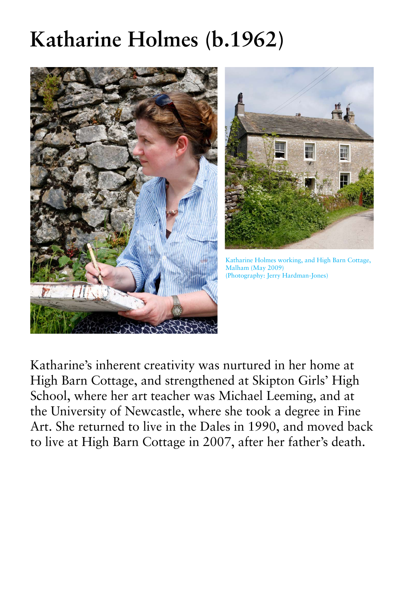Katharine's inherent creativity was nurtured in her home at High Barn Cottage, and strengthened at Skipton Girls' High School, where her art teacher was Michael Leeming, and at the University of Newcastle, where she took a degree in Fine Art. She returned to live in the Dales in 1990, and moved back to live at High Barn Cottage in 2007, after her father's death.

## **Katharine Holmes (b.1962)**





Katharine Holmes working, and High Barn Cottage, Malham (May 2009) (Photography: Jerry Hardman-Jones)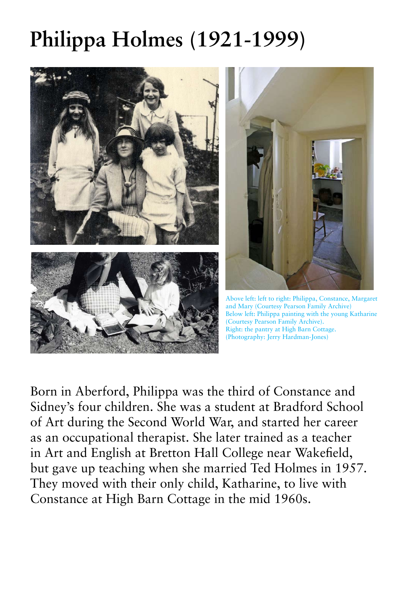Born in Aberford, Philippa was the third of Constance and Sidney's four children. She was a student at Bradford School of Art during the Second World War, and started her career as an occupational therapist. She later trained as a teacher in Art and English at Bretton Hall College near Wakefield, but gave up teaching when she married Ted Holmes in 1957. They moved with their only child, Katharine, to live with Constance at High Barn Cottage in the mid 1960s.

## **Philippa Holmes (1921-1999)**







Above left: left to right: Philippa, Constance, Margaret and Mary (Courtesy Pearson Family Archive) Below left: Philippa painting with the young Katharine (Courtesy Pearson Family Archive). Right: the pantry at High Barn Cottage. (Photography: Jerry Hardman-Jones)